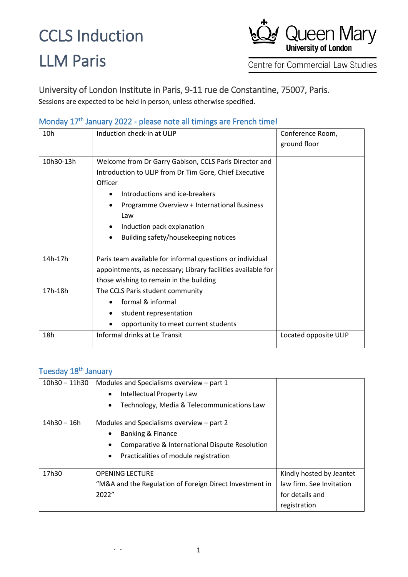### CCLS Induction

## LLM Paris



Centre for Commercial Law Studies

University of London Institute in Paris, 9-11 rue de Constantine, 75007, Paris.

Sessions are expected to be held in person, unless otherwise specified.

#### Monday 17<sup>th</sup> January 2022 - please note all timings are French time!

| 10h       | Induction check-in at ULIP                                   | Conference Room,      |
|-----------|--------------------------------------------------------------|-----------------------|
|           |                                                              | ground floor          |
|           |                                                              |                       |
| 10h30-13h | Welcome from Dr Garry Gabison, CCLS Paris Director and       |                       |
|           | Introduction to ULIP from Dr Tim Gore, Chief Executive       |                       |
|           | Officer                                                      |                       |
|           | Introductions and ice-breakers                               |                       |
|           | Programme Overview + International Business                  |                       |
|           | Law                                                          |                       |
|           | Induction pack explanation                                   |                       |
|           | Building safety/housekeeping notices                         |                       |
|           |                                                              |                       |
| 14h-17h   | Paris team available for informal questions or individual    |                       |
|           | appointments, as necessary; Library facilities available for |                       |
|           | those wishing to remain in the building                      |                       |
| 17h-18h   | The CCLS Paris student community                             |                       |
|           | formal & informal                                            |                       |
|           | student representation                                       |                       |
|           | opportunity to meet current students                         |                       |
| 18h       | Informal drinks at Le Transit                                | Located opposite ULIP |

### Tuesday 18<sup>th</sup> January

| $10h30 - 11h30$ | Modules and Specialisms overview - part 1<br>Intellectual Property Law<br>$\bullet$ |                          |
|-----------------|-------------------------------------------------------------------------------------|--------------------------|
|                 | Technology, Media & Telecommunications Law<br>$\bullet$                             |                          |
| $14h30 - 16h$   | Modules and Specialisms overview – part 2                                           |                          |
|                 | <b>Banking &amp; Finance</b><br>$\bullet$                                           |                          |
|                 | Comparative & International Dispute Resolution<br>٠                                 |                          |
|                 | Practicalities of module registration<br>٠                                          |                          |
| 17h30           | <b>OPENING LECTURE</b>                                                              | Kindly hosted by Jeantet |
|                 | "M&A and the Regulation of Foreign Direct Investment in                             | law firm. See Invitation |
|                 | 2022"                                                                               | for details and          |
|                 |                                                                                     | registration             |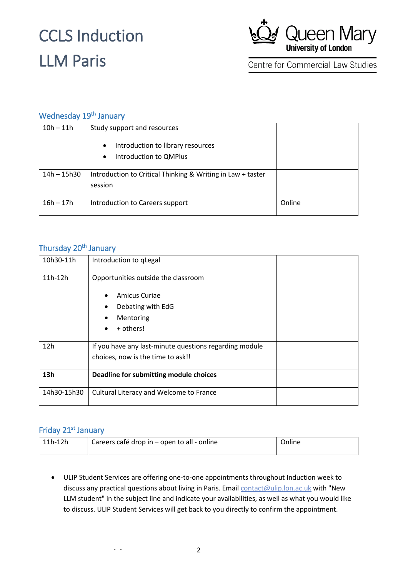## CCLS Induction LLM Paris



Centre for Commercial Law Studies

### Wednesday 19<sup>th</sup> January

| $10h - 11h$ | Study support and resources<br>Introduction to library resources<br>$\bullet$<br>Introduction to QMPlus<br>$\bullet$ |        |
|-------------|----------------------------------------------------------------------------------------------------------------------|--------|
| 14h - 15h30 | Introduction to Critical Thinking & Writing in Law + taster<br>session                                               |        |
| $16h - 17h$ | Introduction to Careers support                                                                                      | Online |

#### Thursday 20<sup>th</sup> January

| 10h30-11h   | Introduction to qLegal                                                                                           |
|-------------|------------------------------------------------------------------------------------------------------------------|
| $11h-12h$   | Opportunities outside the classroom<br>Amicus Curiae<br>Debating with EdG<br>Mentoring<br>+ others!<br>$\bullet$ |
| 12h         | If you have any last-minute questions regarding module<br>choices, now is the time to ask!!                      |
| 13h         | Deadline for submitting module choices                                                                           |
| 14h30-15h30 | Cultural Literacy and Welcome to France                                                                          |

#### Friday 21<sup>st</sup> January

| 11h-12h | Careers café drop in – open to all - online | Online |
|---------|---------------------------------------------|--------|
|         |                                             |        |

 ULIP Student Services are offering one-to-one appointments throughout Induction week to discuss any practical questions about living in Paris. Email [contact@ulip.lon.ac.uk](mailto:contact@ulip.lon.ac.uk) with "New LLM student" in the subject line and indicate your availabilities, as well as what you would like to discuss. ULIP Student Services will get back to you directly to confirm the appointment.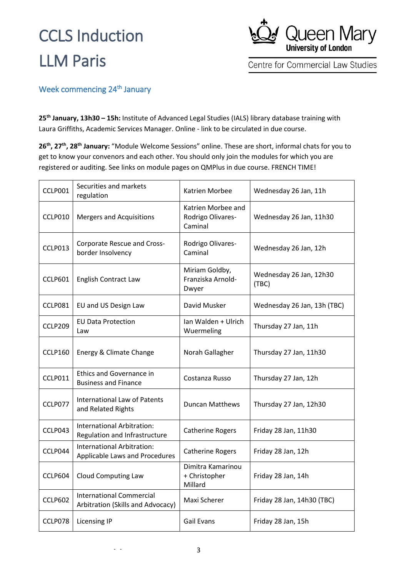## CCLS Induction LLM Paris



Centre for Commercial Law Studies

#### Week commencing 24<sup>th</sup> January

**25th January, 13h30 – 15h:** Institute of Advanced Legal Studies (IALS) library database training with Laura Griffiths, Academic Services Manager. Online - link to be circulated in due course.

**26th, 27th, 28th January:** "Module Welcome Sessions" online. These are short, informal chats for you to get to know your convenors and each other. You should only join the modules for which you are registered or auditing. See links on module pages on QMPlus in due course. FRENCH TIME!

| CCLP001        | Securities and markets<br>regulation                                 | Katrien Morbee                                     | Wednesday 26 Jan, 11h            |
|----------------|----------------------------------------------------------------------|----------------------------------------------------|----------------------------------|
| CCLP010        | <b>Mergers and Acquisitions</b>                                      | Katrien Morbee and<br>Rodrigo Olivares-<br>Caminal | Wednesday 26 Jan, 11h30          |
| CCLP013        | Corporate Rescue and Cross-<br>border Insolvency                     | Rodrigo Olivares-<br>Caminal                       | Wednesday 26 Jan, 12h            |
| CCLP601        | <b>English Contract Law</b>                                          | Miriam Goldby,<br>Franziska Arnold-<br>Dwyer       | Wednesday 26 Jan, 12h30<br>(TBC) |
| CCLP081        | EU and US Design Law                                                 | David Musker                                       | Wednesday 26 Jan, 13h (TBC)      |
| CCLP209        | <b>EU Data Protection</b><br>Law                                     | Ian Walden + Ulrich<br>Wuermeling                  | Thursday 27 Jan, 11h             |
| CCLP160        | Energy & Climate Change                                              | Norah Gallagher                                    | Thursday 27 Jan, 11h30           |
| CCLP011        | <b>Ethics and Governance in</b><br><b>Business and Finance</b>       | Costanza Russo                                     | Thursday 27 Jan, 12h             |
| CCLP077        | <b>International Law of Patents</b><br>and Related Rights            | <b>Duncan Matthews</b>                             | Thursday 27 Jan, 12h30           |
| CCLP043        | International Arbitration:<br>Regulation and Infrastructure          | <b>Catherine Rogers</b>                            | Friday 28 Jan, 11h30             |
| CCLP044        | International Arbitration:<br>Applicable Laws and Procedures         | <b>Catherine Rogers</b>                            | Friday 28 Jan, 12h               |
| CCLP604        | <b>Cloud Computing Law</b>                                           | Dimitra Kamarinou<br>+ Christopher<br>Millard      | Friday 28 Jan, 14h               |
| <b>CCLP602</b> | <b>International Commercial</b><br>Arbitration (Skills and Advocacy) | Maxi Scherer                                       | Friday 28 Jan, 14h30 (TBC)       |
| CCLP078        | <b>Licensing IP</b>                                                  | <b>Gail Evans</b>                                  | Friday 28 Jan, 15h               |